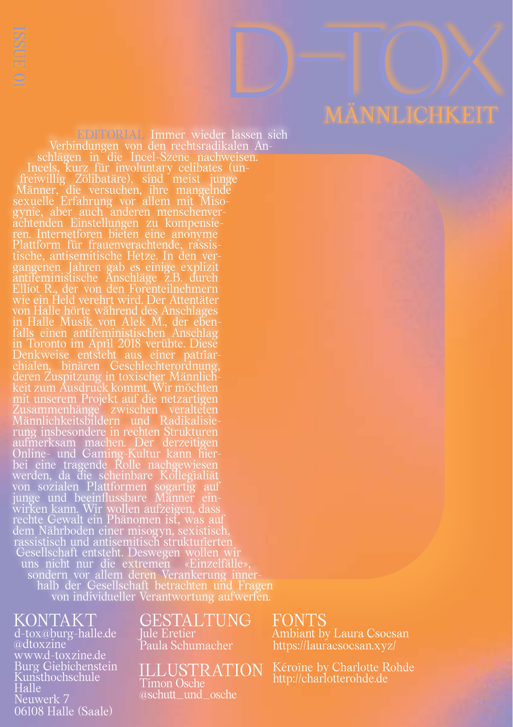EDITORIAL Immer wieder lassen sich<br>Verbindungen von den rechtsradikalen An-Verbindungen von den rechtsradikalen An- schlägen in die Incel-Szene nachweisen. Incels, kurz für involuntary celibates (un- freiwillig Zölibatäre), sind meist junge Männer, die versuchen, ihre mangelnde sexuelle Erfahrung vor allem mit Miso- gynie, aber auch anderen menschenver- achtenden Einstellungen zu kompensie- ren. Internetforen bieten eine anonyme Plattform für frauenverachtende, rassis- tische, antisemitische Hetze. In den ver- gangenen Jahren gab es einige explizit antifeministische Anschläge z.B. durch Elliot R., der von den Forenteilnehmern wie ein Held verehrt wird. Der Attentäter von Halle hörte während des Anschlages in Halle Musik von Alek M., der eben- falls einen antifeministischen Anschlag in Toronto im April 2018 verübte. Diese Denkweise entsteht aus einer patriar- chialen, binären Geschlechterordnung, deren Zuspitzung in toxischer Männlich- keit zum Ausdruck kommt. Wir möchten mit unserem Projekt auf die netzartigen Zusammenhänge zwischen veralteten Männlichkeitsbildern und Radikalisie- rung insbesondere in rechten Strukturen aufmerksam machen. Der derzeitigen Online- und Gaming-Kultur kann hier- bei eine tragende Rolle nachgewiesen werden, da die scheinbare Kollegialiät von sozialen Plattformen sogartig auf junge und beeinflussbare Männer ein- wirken kann. Wir wollen aufzeigen, dass rechte Gewalt ein Phänomen ist, was auf dem Nährboden einer misogyn, sexistisch, rassistisch und antisemitisch strukturierten Gesellschaft entsteht. Deswegen wollen wir uns nicht nur die extremen «Einzelfälle», sondern vor allem deren Verankerung inner- halb der Gesellschaft betrachten und Fragen von individueller Verantwortung aufwerfen.

### KONTAKT

d-tox@burg-halle.de @dtoxzine www.d-toxzine.de Burg Giebichenstein Kunsthochschule Halle Neuwerk 7 06108 Halle (Saale)

GESTALTUNG Jule Eretier Paula Schumacher

ILLUSTRATION Timon Osche @schutt\_und\_osche

FONTS Ambiant by Laura Csocsan https://lauracsocsan.xyz/

http://charlotterohde.de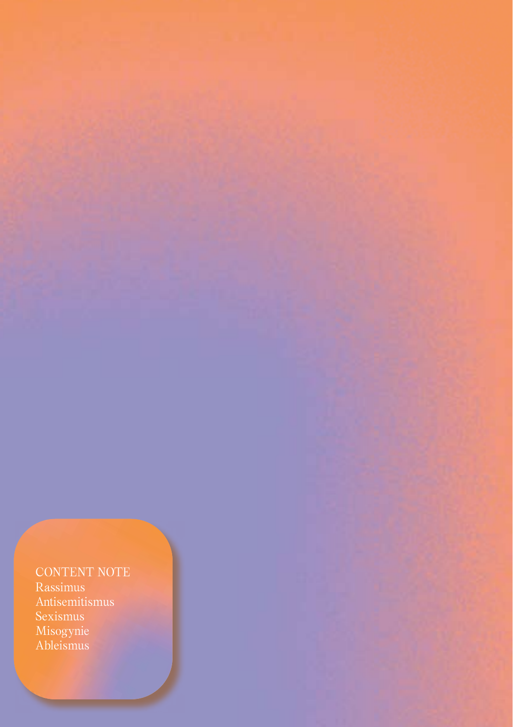CONTENT NOTE Rassimus Misogynie

Ableismus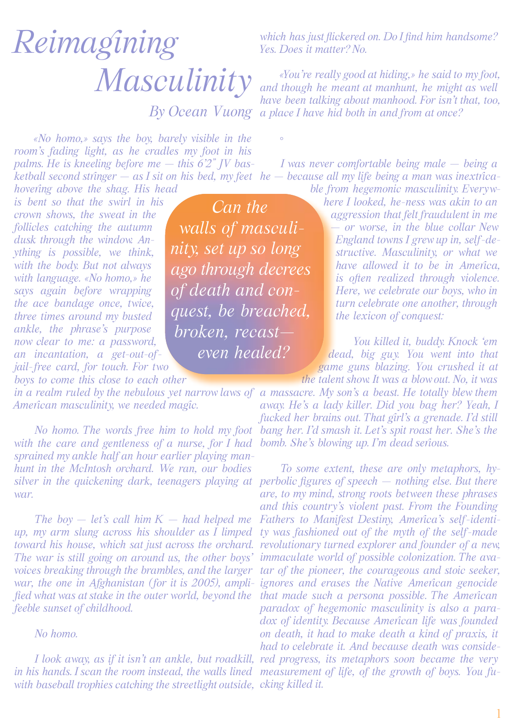# *Reimagining Masculinity*

*«No homo,» says the boy, barely visible in the room's fading light, as he cradles my foot in his palms. He is kneeling before me — this 6'2" JV basketball second stringer — as I sit on his bed, my feet he — because all my life being a man was inextrica-*

*hovering above the shag. His head is bent so that the swirl in his* 

*crown shows, the sweat in the follicles catching the autumn dusk through the window. Anything is possible, we think, with the body. But not always with language. «No homo,» he says again before wrapping the ace bandage once, twice, three times around my busted ankle, the phrase's purpose now clear to me: a password, an incantation, a get-out-ofjail-free card, for touch. For two* 

*boys to come this close to each other* 

*American masculinity, we needed magic.*

*with the care and gentleness of a nurse, for I had sprained my ankle half an hour earlier playing manhunt in the McIntosh orchard. We ran, our bodies war.*

*The boy — let's call him K — had helped me up, my arm slung across his shoulder as I limped toward his house, which sat just across the orchard. The war is still going on around us, the other boys' voices breaking through the brambles, and the larger war, the one in Afghanistan (for it is 2005), amplified what was at stake in the outer world, beyond the feeble sunset of childhood.*

### *No homo.*

*with baseball trophies catching the streetlight outside, cking killed it.*

*Can the walls of masculinity, set up so long ago through decrees of death and conquest, be breached, broken, recast even healed?* 

◦

*which has just flickered on. Do I find him handsome? Yes. Does it matter? No.*

*By Ocean Vuong a place I have hid both in and from at once? «You're really good at hiding,» he said to my foot, and though he meant at manhunt, he might as well have been talking about manhood. For isn't that, too,* 

*I was never comfortable being male — being a* 

*ble from hegemonic masculinity. Everywhere I looked, he-ness was akin to an aggression that felt fraudulent in me — or worse, in the blue collar New England towns I grew up in, self-destructive. Masculinity, or what we have allowed it to be in America, is often realized through violence. Here, we celebrate our boys, who in turn celebrate one another, through the lexicon of conquest:*

*You killed it, buddy. Knock 'em dead, big guy. You went into that game guns blazing. You crushed it at the talent show. It was a blow out. No, it was* 

*in a realm ruled by the nebulous yet narrow laws of a massacre. My son's a beast. He totally blew them No homo. The words free him to hold my foot bang her. I'd smash it. Let's spit roast her. She's the away. He's a lady killer. Did you bag her? Yeah, I fucked her brains out. That girl's a grenade. I'd still bomb. She's blowing up. I'm dead serious.*

*silver in the quickening dark, teenagers playing at perbolic figures of speech — nothing else. But there I look away, as if it isn't an ankle, but roadkill, red progress, its metaphors soon became the very in his hands. I scan the room instead, the walls lined measurement of life, of the growth of boys. You fu-To some extent, these are only metaphors, hyare, to my mind, strong roots between these phrases and this country's violent past. From the Founding Fathers to Manifest Destiny, America's self-identity was fashioned out of the myth of the self-made revolutionary turned explorer and founder of a new, immaculate world of possible colonization. The avatar of the pioneer, the courageous and stoic seeker, ignores and erases the Native American genocide that made such a persona possible. The American paradox of hegemonic masculinity is also a paradox of identity. Because American life was founded on death, it had to make death a kind of praxis, it had to celebrate it. And because death was conside-*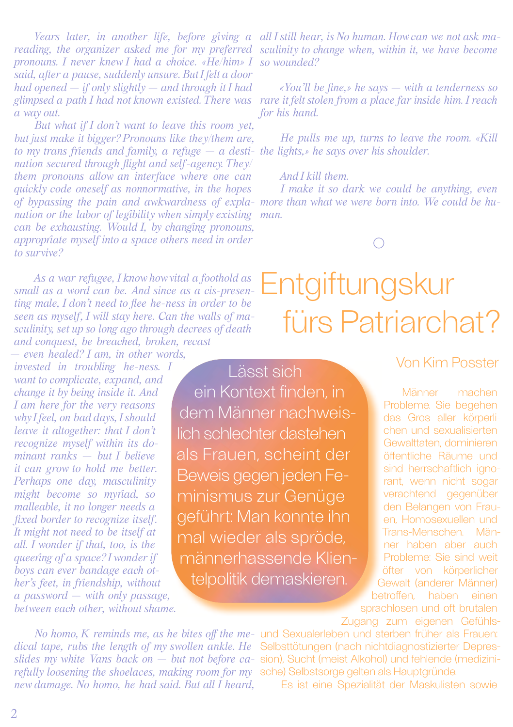*pronouns. I never knew I had a choice. «He/him» I so wounded? said, after a pause, suddenly unsure. But I felt a door had opened — if only slightly — and through it I had a way out.*

*But what if I don't want to leave this room yet, but just make it bigger? Pronouns like they/them are, to my trans friends and family, a refuge — a desti-the lights,» he says over his shoulder. nation secured through flight and self-agency. They/ them pronouns allow an interface where one can quickly code oneself as nonnormative, in the hopes nation or the labor of legibility when simply existing man. can be exhausting. Would I, by changing pronouns, appropriate myself into a space others need in order to survive?*

*As a war refugee, I know how vital a foothold as small as a word can be. And since as a cis-presenting male, I don't need to flee he-ness in order to be seen as myself, I will stay here. Can the walls of masculinity, set up so long ago through decrees of death and conquest, be breached, broken, recast* 

*— even healed? I am, in other words, invested in troubling he-ness. I want to complicate, expand, and change it by being inside it. And I am here for the very reasons why I feel, on bad days, I should leave it altogether: that I don't recognize myself within its dominant ranks — but I believe it can grow to hold me better. Perhaps one day, masculinity might become so myriad, so malleable, it no longer needs a fixed border to recognize itself. It might not need to be itself at all. I wonder if that, too, is the queering of a space? I wonder if boys can ever bandage each other's feet, in friendship, without a password — with only passage, between each other, without shame.*

Lässt sich ein Kontext finden, in dem Männer nachweislich schlechter dastehen als Frauen, scheint der Beweis gegen jeden Feminismus zur Genüge geführt: Man konnte ihn mal wieder als spröde, männerhassende Klientelpolitik demaskieren.

*Years later, in another life, before giving a all I still hear, is No human. How can we not ask ma*reading, the organizer asked me for my preferred sculinity to change when, within it, we have become

*glimpsed a path I had not known existed. There was rare it felt stolen from a place far inside him. I reach «You'll be fine,» he says — with a tenderness so for his hand.*

*He pulls me up, turns to leave the room. «Kill* 

### *And I kill them.*

*of bypassing the pain and awkwardness of expla-more than what we were born into. We could be hu-I make it so dark we could be anything, even* 

 $\bigcirc$ 

## Entgiftungskur fürs Patriarchat?

### Von Kim Posster

Männer machen Probleme. Sie begehen das Gros aller körperlichen und sexualisierten Gewalttaten, dominieren öffentliche Räume und sind herrschaftlich ignorant, wenn nicht sogar verachtend gegenüber den Belangen von Frauen, Homosexuellen und Trans-Menschen. Männer haben aber auch Probleme: Sie sind weit öfter von körperlicher Gewalt (anderer Männer) betroffen, haben einen sprachlosen und oft brutalen Zugang zum eigenen Gefühls-

*dical tape, rubs the length of my swollen ankle. He*  Selbsttötungen (nach nichtdiagnostizierter Depres*slides my white Vans back on — but not before ca-*sion), Sucht (meist Alkohol) und fehlende (medizini*refully loosening the shoelaces, making room for my*  sche) Selbstsorge gelten als Hauptgründe. *new damage. No homo, he had said. But all I heard,* 

*No homo, K reminds me, as he bites off the me-*und Sexualerleben und sterben früher als Frauen:

Es ist eine Spezialität der Maskulisten sowie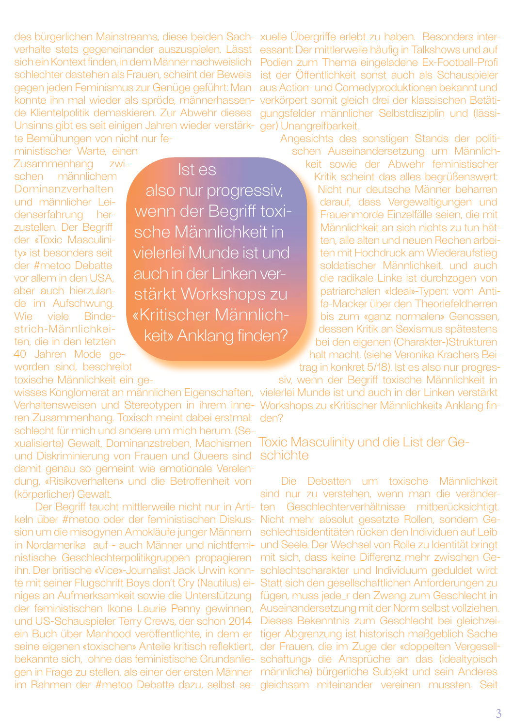des bürgerlichen Mainstreams, diese beiden Sach-xuelle Übergriffe erlebt zu haben. Besonders interverhalte stets gegeneinander auszuspielen. Lässt sich einKontext finden, in dem Männer nachweislich schlechter dastehen als Frauen, scheint der Beweis gegen jeden Feminismus zur Genüge geführt: Man konnte ihn mal wieder als spröde, männerhassende Klientelpolitik demaskieren. Zur Abwehr dieses Unsinns gibt es seit einigen Jahren wieder verstärkte Bemühungen von nicht nur fe-

ministischer Warte, einen

Zusammenhang zwischen männlichem Dominanzverhalten und männlicher Leidenserfahrung herzustellen. Der Begriff der «Toxic Masculinity» ist besonders seit der #metoo Debatte vor allem in den USA, aber auch hierzulande im Aufschwung. Wie viele Bindestrich-Männlichkeiten, die in den letzten 40 Jahren Mode geworden sind, beschreibt

toxische Männlichkeit ein ge-

Verhaltensweisen und Stereotypen in ihrem inneren Zusammenhang. Toxisch meint dabei erstmal: schlecht für mich und andere um mich herum. (Sexualisierte) Gewalt, Dominanzstreben, Machismen und Diskriminierung von Frauen und Queers sind damit genau so gemeint wie emotionale Verelendung, «Risikoverhalten» und die Betroffenheit von (körperlicher) Gewalt.

Der Begriff taucht mittlerweile nicht nur in Artikeln über #metoo oder der feministischen Diskussion um die misogynen Amokläufe junger Männern in Nordamerika auf - auch Männer und nichtfeministische Geschlechterpolitikgruppen propagieren ihn. Der britische «Vice»-Journalist Jack Urwin konnte mit seiner Flugschrift Boys don't Cry (Nautilus) einiges an Aufmerksamkeit sowie die Unterstützung der feministischen Ikone Laurie Penny gewinnen, und US-Schauspieler Terry Crews, der schon 2014 ein Buch über Manhood veröffentlichte, in dem er seine eigenen «toxischen» Anteile kritisch reflektiert, bekannte sich, ohne das feministische Grundanliegen in Frage zu stellen, als einer der ersten Männer im Rahmen der #metoo Debatte dazu, selbst se-

Ist es also nur progressiv, wenn der Begriff toxische Männlichkeit in vielerlei Munde ist und auch in der Linken verstärkt Workshops zu «Kritischer Männlichkeit» Anklang finden?

essant: Der mittlerweile häufig in Talkshows und auf Podien zum Thema eingeladene Ex-Football-Profi ist der Öffentlichkeit sonst auch als Schauspieler aus Action- und Comedyproduktionen bekannt und verkörpert somit gleich drei der klassischen Betätigungsfelder männlicher Selbstdisziplin und (lässiger) Unangreifbarkeit.

Angesichts des sonstigen Stands der politischen Auseinandersetzung um Männlichkeit sowie der Abwehr feministischer

Kritik scheint das alles begrüßenswert: Nicht nur deutsche Männer beharren darauf, dass Vergewaltigungen und Frauenmorde Einzelfälle seien, die mit Männlichkeit an sich nichts zu tun hätten, alle alten und neuen Rechen arbeiten mit Hochdruck am Wiederaufstieg soldatischer Männlichkeit, und auch die radikale Linke ist durchzogen von patriarchalen «Ideal»-Typen: vom Antifa-Macker über den Theoriefeldherren bis zum «ganz normalen» Genossen, dessen Kritik an Sexismus spätestens bei den eigenen (Charakter-)Strukturen halt macht. (siehe Veronika Krachers Beitrag in konkret 5/18). Ist es also nur progres-

wisses Konglomerat an männlichen Eigenschaften, vielerlei Munde ist und auch in der Linken verstärkt siv, wenn der Begriff toxische Männlichkeit in Workshops zu «Kritischer Männlichkeit» Anklang finden?

Toxic Masculinity und die List der Ge- schichte

Die Debatten um toxische Männlichkeit sind nur zu verstehen, wenn man die veränderten Geschlechterverhältnisse mitberücksichtigt. Nicht mehr absolut gesetzte Rollen, sondern Geschlechtsidentitäten rücken den Individuen auf Leib und Seele. Der Wechsel von Rolle zu Identität bringt mit sich, dass keine Differenz mehr zwischen Geschlechtscharakter und Individuum geduldet wird: Statt sich den gesellschaftlichen Anforderungen zu fügen, muss jede\_r den Zwang zum Geschlecht in Auseinandersetzung mit der Norm selbst vollziehen. Dieses Bekenntnis zum Geschlecht bei gleichzeitiger Abgrenzung ist historisch maßgeblich Sache der Frauen, die im Zuge der «doppelten Vergesellschaftung» die Ansprüche an das (idealtypisch männliche) bürgerliche Subjekt und sein Anderes gleichsam miteinander vereinen mussten. Seit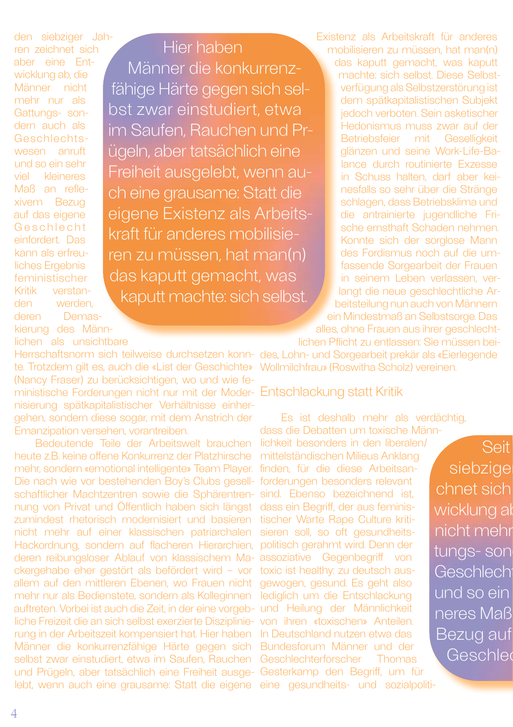den siebziger Jahren zeichnet sich aber eine Entwicklung ab, die Männer nicht mehr nur als Gattungs- sondern auch als Geschlechtswesen anruft und so ein sehr viel kleineres Maß an reflexivem Bezug auf das eigene Geschlecht einfordert. Das kann als erfreuliches Ergebnis feministischer Kritik verstanden werden, deren Demaskierung des Männlichen als unsichtbare

Männer die konkurrenzfähige Härte gegen sich selbst zwar einstudiert, etwa im Saufen, Rauchen und Prügeln, aber tatsächlich eine Freiheit ausgelebt, wenn auch eine grausame: Statt die eigene Existenz als Arbeitskraft für anderes mobilisieren zu müssen, hat man(n)

Hier haben

das kaputt gemacht, was kaputt machte: sich selbst. Existenz als Arbeitskraft für anderes mobilisieren zu müssen, hat man(n) das kaputt gemacht, was kaputt machte: sich selbst. Diese Selbstverfügung als Selbstzerstörung ist dem spätkapitalistischen Subjekt jedoch verboten. Sein asketischer Hedonismus muss zwar auf der Betriebsfeier mit Geselligkeit glänzen und seine Work-Life-Balance durch routinierte Exzesse in Schuss halten, darf aber keinesfalls so sehr über die Stränge schlagen, dass Betriebsklima und die antrainierte jugendliche Frische ernsthaft Schaden nehmen. Konnte sich der sorglose Mann des Fordismus noch auf die umfassende Sorgearbeit der Frauen in seinem Leben verlassen, verlangt die neue geschlechtliche Arbeitsteilung nun auch von Männern ein Mindestmaß an Selbstsorge. Das alles, ohne Frauen aus ihrer geschlecht-

lichen Pflicht zu entlassen: Sie müssen bei-

Herrschaftsnorm sich teilweise durchsetzen konn-des, Lohn- und Sorgearbeit prekär als «Eierlegende te. Trotzdem gilt es, auch die «List der Geschichte» Wollmilchfrau» (Roswitha Scholz) vereinen. (Nancy Fraser) zu berücksichtigen, wo und wie feministische Forderungen nicht nur mit der Moder-Entschlackung statt Kritik nisierung spätkapitalistischer Verhältnisse einhergehen, sondern diese sogar, mit dem Anstrich der Emanzipation versehen, vorantreiben.

Bedeutende Teile der Arbeitswelt brauchen heute z.B. keine offene Konkurrenz der Platzhirsche mehr, sondern «emotional intelligente» Team Player. Die nach wie vor bestehenden Boy's Clubs gesellschaftlicher Machtzentren sowie die Sphärentrennung von Privat und Öffentlich haben sich längst zumindest rhetorisch modernisiert und basieren nicht mehr auf einer klassischen patriarchalen Hackordnung, sondern auf flacheren Hierarchien, deren reibungsloser Ablauf von klassischem Mackergehabe eher gestört als befördert wird – vor allem auf den mittleren Ebenen, wo Frauen nicht mehr nur als Bedienstete, sondern als Kolleginnen auftreten. Vorbei ist auch die Zeit, in der eine vorgebliche Freizeit die an sich selbst exerzierte Disziplinierung in der Arbeitszeit kompensiert hat. Hier haben Männer die konkurrenzfähige Härte gegen sich selbst zwar einstudiert, etwa im Saufen, Rauchen und Prügeln, aber tatsächlich eine Freiheit ausge-Gesterkamp den Begriff, um für lebt, wenn auch eine grausame: Statt die eigene

Es ist deshalb mehr als verdächtig, dass die Debatten um toxische Männ-

lichkeit besonders in den liberalen/ mittelständischen Milieus Anklang finden, für die diese Arbeitsanforderungen besonders relevant sind. Ebenso bezeichnend ist, dass ein Begriff, der aus feministischer Warte Rape Culture kritisieren soll, so oft gesundheitspolitisch gerahmt wird. Denn der assoziative Gegenbegriff von toxic ist healthy: zu deutsch ausgewogen, gesund. Es geht also lediglich um die Entschlackung und Heilung der Männlichkeit von ihren «toxischen» Anteilen. In Deutschland nutzen etwa das Bundesforum Männer und der Geschlechterforscher Thomas eine gesundheits- und sozialpoliti-

Seit siebzige chnet sich wicklung al nicht mehr tungs- son Geschlecht und so ein neres Maß Bezug auf Geschler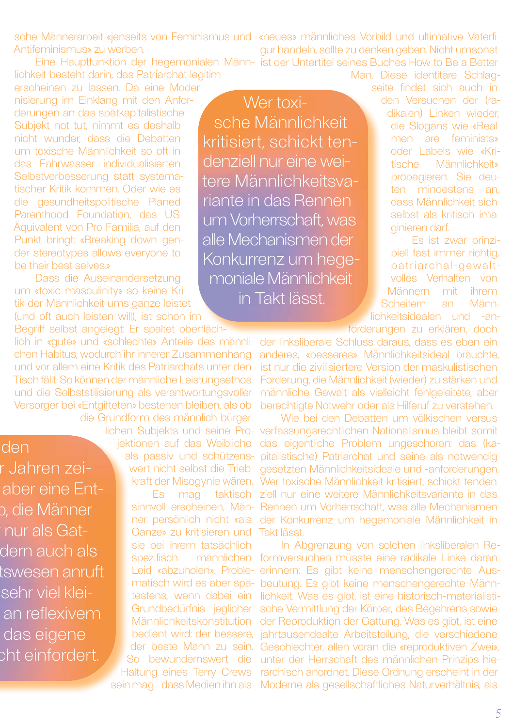sche Männerarbeit «jenseits von Feminismus und «neues» männliches Vorbild und ultimative Vaterfi-Antifeminismus» zu werben.

Eine Hauptfunktion der hegemonialen Männ-ist der Untertitel seines Buches How to Be a Better lichkeit besteht darin, das Patriarchat legitim

erscheinen zu lassen. Da eine Modernisierung im Einklang mit den Anforderungen an das spätkapitalistische Subjekt not tut, nimmt es deshalb nicht wunder, dass die Debatten um toxische Männlichkeit so oft in das Fahrwasser individualisierten Selbstverbesserung statt systematischer Kritik kommen. Oder wie es die gesundheitspolitische Planed Parenthood Foundation, das US-Äquivalent von Pro Familia, auf den Punkt bringt: «Breaking down gender stereotypes allows everyone to be their best selves.»

Dass die Auseinandersetzung um «toxic masculinity» so keine Kritik der Männlichkeit ums ganze leistet (und oft auch leisten will), ist schon im

Begriff selbst angelegt: Er spaltet oberflächlich in «gute» und «schlechte» Anteile des männlichen Habitus, wodurch ihr innerer Zusammenhang und vor allem eine Kritik des Patriarchats unter den Tisch fällt. So können der männliche Leistungsethos und die Selbststilisierung als verantwortungsvoller Versorger bei «Entgifteten» bestehen bleiben, als ob die Grundform des männlich-bürger-

lichen Subjekts und seine Pro-

jektionen auf das Weibliche als passiv und schützenswert nicht selbst die Triebkraft der Misogynie wären. Es mag taktisch sinnvoll erscheinen, Männer persönlich nicht «als Ganze» zu kritisieren und

sie bei ihrem tatsächlich spezifisch männlichen Leid «abzuholen». Problematisch wird es aber spätestens, wenn dabei ein Grundbedürfnis jeglicher Männlichkeitskonstitution bedient wird: der bessere, der beste Mann zu sein. So bewundernswert die dern auch als tswesen anruft sehr viel kleian reflexivem cht einfordert.

Haltung eines Terry Crews sein mag - dass Medien ihn als

Wer toxische Männlichkeit kritisiert, schickt tendenziell nur eine weitere Männlichkeitsvariante in das Rennen um Vorherrschaft, was alle Mechanismen der Konkurrenz um hegemoniale Männlichkeit in Takt lässt.

gur handeln, sollte zu denken geben. Nicht umsonst

Man. Diese identitäre Schlagseite findet sich auch in den Versuchen der (radikalen) Linken wieder, die Slogans wie «Real men are feminists» oder Labels wie «Kritische Männlichkeit» propagieren. Sie deuten mindestens an, dass Männlichkeit sich selbst als kritisch imaginieren darf.

Es ist zwar prinzipiell fast immer richtig, patriarchal-gewaltvolles Verhalten von Männern mit ihrem Scheitern an Männlichkeitsidealen und -an-

forderungen zu erklären, doch

der linksliberale Schluss daraus, dass es eben ein anderes, «besseres» Männlichkeitsideal bräuchte, ist nur die zivilisiertere Version der maskulistischen Forderung, die Männlichkeit (wieder) zu stärken und männliche Gewalt als vielleicht fehlgeleitete, aber berechtigte Notwehr oder als Hilferuf zu verstehen.

Wie bei den Debatten um völkischen versus verfassungsrechtlichen Nationalismus bleibt somit das eigentliche Problem ungeschoren: das (kapitalistische) Patriarchat und seine als notwendig gesetzten Männlichkeitsideale und -anforderungen. Wer toxische Männlichkeit kritisiert, schickt tendenziell nur eine weitere Männlichkeitsvariante in das Rennen um Vorherrschaft, was alle Mechanismen der Konkurrenz um hegemoniale Männlichkeit in Takt lässt.

In Abgrenzung von solchen linksliberalen Reformversuchen müsste eine radikale Linke daran erinnern: Es gibt keine menschengerechte Ausbeutung. Es gibt keine menschengerechte Männlichkeit. Was es gibt, ist eine historisch-materialistische Vermittlung der Körper, des Begehrens sowie der Reproduktion der Gattung. Was es gibt, ist eine jahrtausendealte Arbeitsteilung, die verschiedene Geschlechter, allen voran die «reproduktiven Zwei», unter der Herrschaft des männlichen Prinzips hierarchisch anordnet. Diese Ordnung erscheint in der Moderne als gesellschaftliches Naturverhältnis, als

r Jahren zeiaber eine Entp. die Männer nur als Gat-

das eigene

den

5